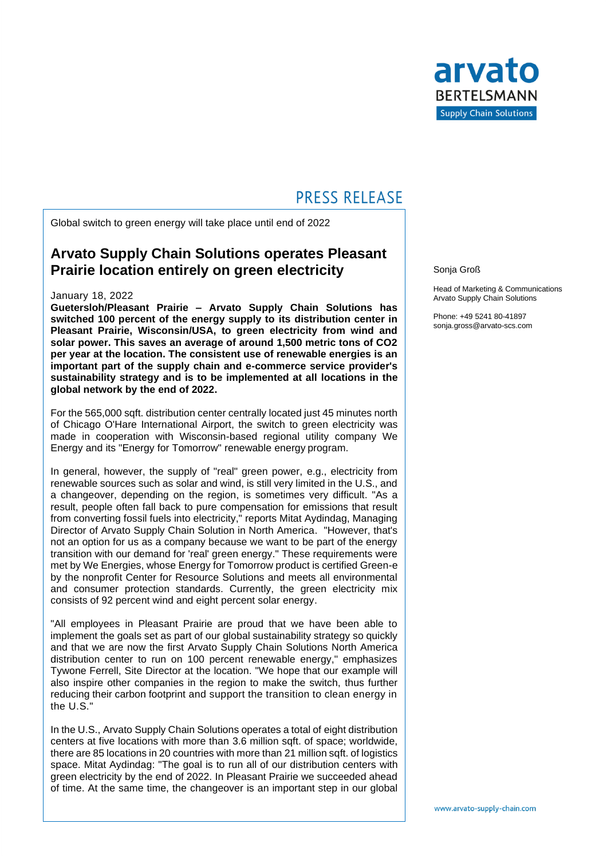

## **PRESS RELEASE**

Global switch to green energy will take place until end of 2022

### **Arvato Supply Chain Solutions operates Pleasant Prairie location entirely on green electricity**

#### January 18, 2022

**Guetersloh/Pleasant Prairie – Arvato Supply Chain Solutions has switched 100 percent of the energy supply to its distribution center in Pleasant Prairie, Wisconsin/USA, to green electricity from wind and solar power. This saves an average of around 1,500 metric tons of CO2 per year at the location. The consistent use of renewable energies is an important part of the supply chain and e-commerce service provider's sustainability strategy and is to be implemented at all locations in the global network by the end of 2022.** 

For the 565,000 sqft. distribution center centrally located just 45 minutes north of Chicago O'Hare International Airport, the switch to green electricity was made in cooperation with Wisconsin-based regional utility company We Energy and its "Energy for Tomorrow" renewable energy program.

In general, however, the supply of "real" green power, e.g., electricity from renewable sources such as solar and wind, is still very limited in the U.S., and a changeover, depending on the region, is sometimes very difficult. "As a result, people often fall back to pure compensation for emissions that result from converting fossil fuels into electricity," reports Mitat Aydindag, Managing Director of Arvato Supply Chain Solution in North America. "However, that's not an option for us as a company because we want to be part of the energy transition with our demand for 'real' green energy." These requirements were met by We Energies, whose Energy for Tomorrow product is certified Green-e by the nonprofit Center for Resource Solutions and meets all environmental and consumer protection standards. Currently, the green electricity mix consists of 92 percent wind and eight percent solar energy.

"All employees in Pleasant Prairie are proud that we have been able to implement the goals set as part of our global sustainability strategy so quickly and that we are now the first Arvato Supply Chain Solutions North America distribution center to run on 100 percent renewable energy," emphasizes Tywone Ferrell, Site Director at the location. "We hope that our example will also inspire other companies in the region to make the switch, thus further reducing their carbon footprint and support the transition to clean energy in the U.S."

In the U.S., Arvato Supply Chain Solutions operates a total of eight distribution centers at five locations with more than 3.6 million sqft. of space; worldwide, there are 85 locations in 20 countries with more than 21 million sqft. of logistics space. Mitat Aydindag: "The goal is to run all of our distribution centers with green electricity by the end of 2022. In Pleasant Prairie we succeeded ahead of time. At the same time, the changeover is an important step in our global

Sonja Groß

Head of Marketing & Communications Arvato Supply Chain Solutions

Phone: +49 5241 80-41897 sonja.gross@arvato-scs.com